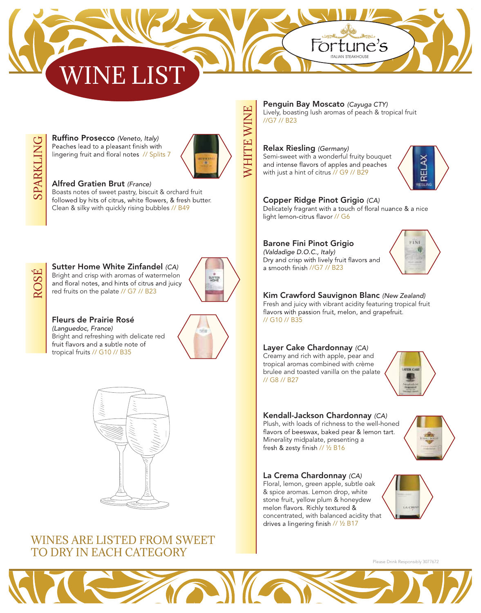# IE I



*(Veneto, Italy)*  Peaches lead to a pleasant finish with lingering fruit and floral notes // Splits 7



WHITE WINE

**WHITE WINE** 

## Alfred Gratien Brut *(France)*  Boasts notes of sweet pastry, biscuit & orchard fruit

Clean & silky with quickly rising bubbles // B49



Sutter Home White Zinfandel *(CA)*  Bright and crisp with aromas of watermelon<br>and floral notes, and hints of citrus and juicy red fruits on the palate // G7 // B23



Fleurs de Prairie Rosé *(Languedoc, France)* Bright and refreshing with delicate red<br>fruit flavors and a subtle note of tropical fruits // G10 // B35





## WINES ARE LISTED FROM SWEET TO DRY IN EACH CATEGORY

Penguin Bay Moscato *(Cayuga CTY)*  Lively, boasting lush aromas of peach & tropical fruit //G7 // B23

Fortune's

### Relax Riesling *(Germany)*

Semi-sweet with a wonderful fruity bouquet<br>and intense flavors of apples and peaches with just a hint of citrus // G9 // B29



**Copper Ridge Pinot Grigio** *(CA)*<br>Delicately fragrant with a touch of floral nuance & a nice light lemon-citrus flavor // G6

### Barone Fini Pinot Grigio

*(Valdadige D.O.C., Italy)*  Dry and crisp with lively fruit flavors and a smooth finish //G7 // B23



# Kim Crawford Sauvignon Blanc *(New Zealand)*

Fresh and juicy with vibrant acidity featuring tropical fruit flavors with passion fruit, melon, and grapefruit. // G10 // B35

### Layer Cake Chardonnay *(CA)*

Creamy and rich with apple, pear and tropical aromas combined with crème brulee and toasted vanilla on the palate // G8 // B27



### Kendall-Jackson Chardonnay *(CA)*

Plush, with loads of richness to the well-honed<br>flavors of beeswax, baked pear & lemon tart. Minerality midpalate, presenting a fresh & zesty finish // 1/2 B16

### La Crema Chardonnay *(CA)*

Floral, lemon, green apple, subtle oak & spice aromas. Lemon drop, white stone fruit, yellow plum & honeydew<br>melon flavors. Richly textured & concentrated, with balanced acidity that drives a lingering finish // 1/2 B17



Please Drink Responsibly 3077672